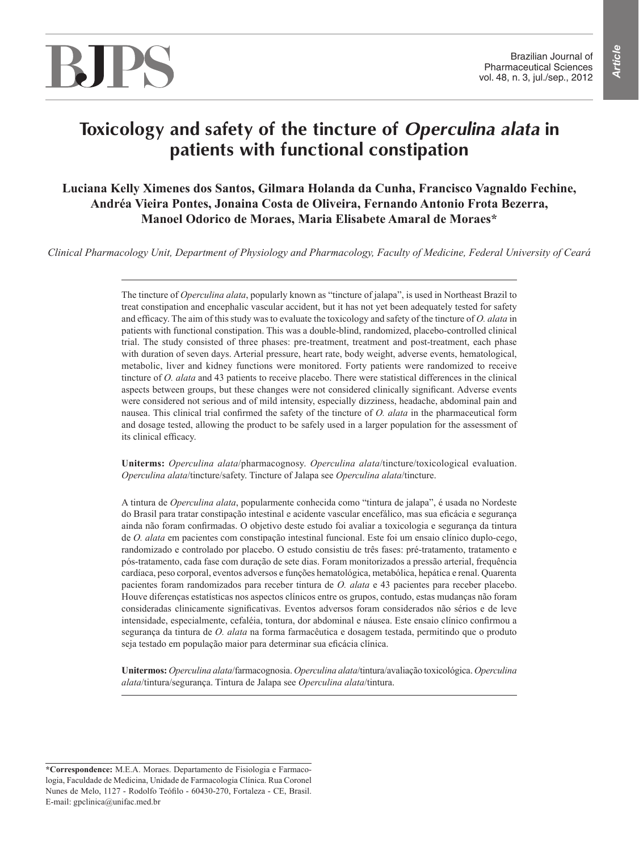*Article*

# **Toxicology and safety of the tincture of** *Operculina alata* **in patients with functional constipation**

**Luciana Kelly Ximenes dos Santos, Gilmara Holanda da Cunha, Francisco Vagnaldo Fechine, Andréa Vieira Pontes, Jonaina Costa de Oliveira, Fernando Antonio Frota Bezerra, Manoel Odorico de Moraes, Maria Elisabete Amaral de Moraes\***

*Clinical Pharmacology Unit, Department of Physiology and Pharmacology, Faculty of Medicine, Federal University of Ceará*

The tincture of *Operculina alata*, popularly known as "tincture of jalapa", is used in Northeast Brazil to treat constipation and encephalic vascular accident, but it has not yet been adequately tested for safety and efficacy. The aim of this study was to evaluate the toxicology and safety of the tincture of *O. alata* in patients with functional constipation. This was a double-blind, randomized, placebo-controlled clinical trial. The study consisted of three phases: pre-treatment, treatment and post-treatment, each phase with duration of seven days. Arterial pressure, heart rate, body weight, adverse events, hematological, metabolic, liver and kidney functions were monitored. Forty patients were randomized to receive tincture of *O. alata* and 43 patients to receive placebo. There were statistical differences in the clinical aspects between groups, but these changes were not considered clinically significant. Adverse events were considered not serious and of mild intensity, especially dizziness, headache, abdominal pain and nausea. This clinical trial confirmed the safety of the tincture of *O. alata* in the pharmaceutical form and dosage tested, allowing the product to be safely used in a larger population for the assessment of its clinical efficacy.

**Uniterms:** *Operculina alata*/pharmacognosy. *Operculina alata*/tincture/toxicological evaluation. *Operculina alata*/tincture/safety. Tincture of Jalapa see *Operculina alata*/tincture.

A tintura de *Operculina alata*, popularmente conhecida como "tintura de jalapa", é usada no Nordeste do Brasil para tratar constipação intestinal e acidente vascular encefálico, mas sua eficácia e segurança ainda não foram confirmadas. O objetivo deste estudo foi avaliar a toxicologia e segurança da tintura de *O. alata* em pacientes com constipação intestinal funcional. Este foi um ensaio clínico duplo-cego, randomizado e controlado por placebo. O estudo consistiu de três fases: pré-tratamento, tratamento e pós-tratamento, cada fase com duração de sete dias. Foram monitorizados a pressão arterial, frequência cardíaca, peso corporal, eventos adversos e funções hematológica, metabólica, hepática e renal. Quarenta pacientes foram randomizados para receber tintura de *O. alata* e 43 pacientes para receber placebo. Houve diferenças estatísticas nos aspectos clínicos entre os grupos, contudo, estas mudanças não foram consideradas clinicamente significativas. Eventos adversos foram considerados não sérios e de leve intensidade, especialmente, cefaléia, tontura, dor abdominal e náusea. Este ensaio clínico confirmou a segurança da tintura de *O. alata* na forma farmacêutica e dosagem testada, permitindo que o produto seja testado em população maior para determinar sua eficácia clínica.

**Unitermos:** *Operculina alata*/farmacognosia. *Operculina alata*/tintura/avaliação toxicológica. *Operculina alata*/tintura/segurança. Tintura de Jalapa see *Operculina alata*/tintura.

**<sup>\*</sup>Correspondence:** M.E.A. Moraes. Departamento de Fisiologia e Farmacologia, Faculdade de Medicina, Unidade de Farmacologia Clínica. Rua Coronel Nunes de Melo, 1127 - Rodolfo Teófilo - 60430-270, Fortaleza - CE, Brasil. E-mail: gpclinica@unifac.med.br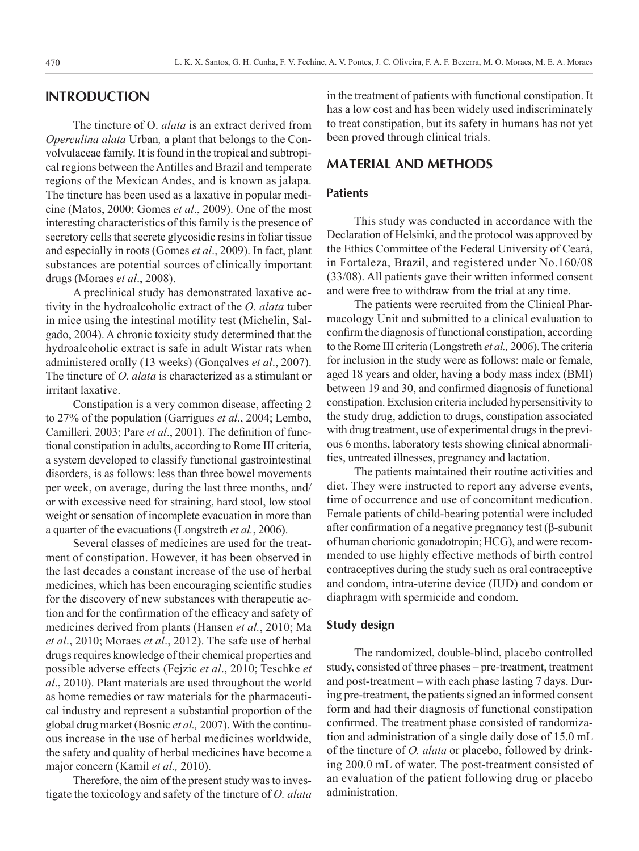## **INTRODUCTION**

The tincture of O. *alata* is an extract derived from *Operculina alata* Urban*,* a plant that belongs to the Convolvulaceae family. It is found in the tropical and subtropical regions between the Antilles and Brazil and temperate regions of the Mexican Andes, and is known as jalapa. The tincture has been used as a laxative in popular medicine (Matos, 2000; Gomes *et al*., 2009). One of the most interesting characteristics of this family is the presence of secretory cells that secrete glycosidic resins in foliar tissue and especially in roots (Gomes *et al*., 2009). In fact, plant substances are potential sources of clinically important drugs (Moraes *et al*., 2008).

A preclinical study has demonstrated laxative activity in the hydroalcoholic extract of the *O. alata* tuber in mice using the intestinal motility test (Michelin, Salgado, 2004). A chronic toxicity study determined that the hydroalcoholic extract is safe in adult Wistar rats when administered orally (13 weeks) (Gonçalves *et al*., 2007). The tincture of *O. alata* is characterized as a stimulant or irritant laxative.

Constipation is a very common disease, affecting 2 to 27% of the population (Garrigues *et al*., 2004; Lembo, Camilleri, 2003; Pare *et al*., 2001). The definition of functional constipation in adults, according to Rome III criteria, a system developed to classify functional gastrointestinal disorders, is as follows: less than three bowel movements per week, on average, during the last three months, and/ or with excessive need for straining, hard stool, low stool weight or sensation of incomplete evacuation in more than a quarter of the evacuations (Longstreth *et al.*, 2006).

Several classes of medicines are used for the treatment of constipation. However, it has been observed in the last decades a constant increase of the use of herbal medicines, which has been encouraging scientific studies for the discovery of new substances with therapeutic action and for the confirmation of the efficacy and safety of medicines derived from plants (Hansen *et al.*, 2010; Ma *et al*., 2010; Moraes *et al*., 2012). The safe use of herbal drugs requires knowledge of their chemical properties and possible adverse effects (Fejzic *et al*., 2010; Teschke *et al*., 2010). Plant materials are used throughout the world as home remedies or raw materials for the pharmaceutical industry and represent a substantial proportion of the global drug market (Bosnic *et al.,* 2007). With the continuous increase in the use of herbal medicines worldwide, the safety and quality of herbal medicines have become a major concern (Kamil *et al.,* 2010).

Therefore, the aim of the present study was to investigate the toxicology and safety of the tincture of *O. alata* in the treatment of patients with functional constipation. It has a low cost and has been widely used indiscriminately to treat constipation, but its safety in humans has not yet been proved through clinical trials.

## **MATERIAL AND METHODS**

#### **Patients**

This study was conducted in accordance with the Declaration of Helsinki, and the protocol was approved by the Ethics Committee of the Federal University of Ceará, in Fortaleza, Brazil, and registered under No.160/08 (33/08). All patients gave their written informed consent and were free to withdraw from the trial at any time.

The patients were recruited from the Clinical Pharmacology Unit and submitted to a clinical evaluation to confirm the diagnosis of functional constipation, according to the Rome III criteria (Longstreth *et al.,* 2006). The criteria for inclusion in the study were as follows: male or female, aged 18 years and older, having a body mass index (BMI) between 19 and 30, and confirmed diagnosis of functional constipation. Exclusion criteria included hypersensitivity to the study drug, addiction to drugs, constipation associated with drug treatment, use of experimental drugs in the previous 6 months, laboratory tests showing clinical abnormalities, untreated illnesses, pregnancy and lactation.

The patients maintained their routine activities and diet. They were instructed to report any adverse events, time of occurrence and use of concomitant medication. Female patients of child-bearing potential were included after confirmation of a negative pregnancy test (β-subunit of human chorionic gonadotropin; HCG), and were recommended to use highly effective methods of birth control contraceptives during the study such as oral contraceptive and condom, intra-uterine device (IUD) and condom or diaphragm with spermicide and condom.

#### **Study design**

The randomized, double-blind, placebo controlled study, consisted of three phases – pre-treatment, treatment and post-treatment – with each phase lasting 7 days. During pre-treatment, the patients signed an informed consent form and had their diagnosis of functional constipation confirmed. The treatment phase consisted of randomization and administration of a single daily dose of 15.0 mL of the tincture of *O. alata* or placebo, followed by drinking 200.0 mL of water. The post-treatment consisted of an evaluation of the patient following drug or placebo administration.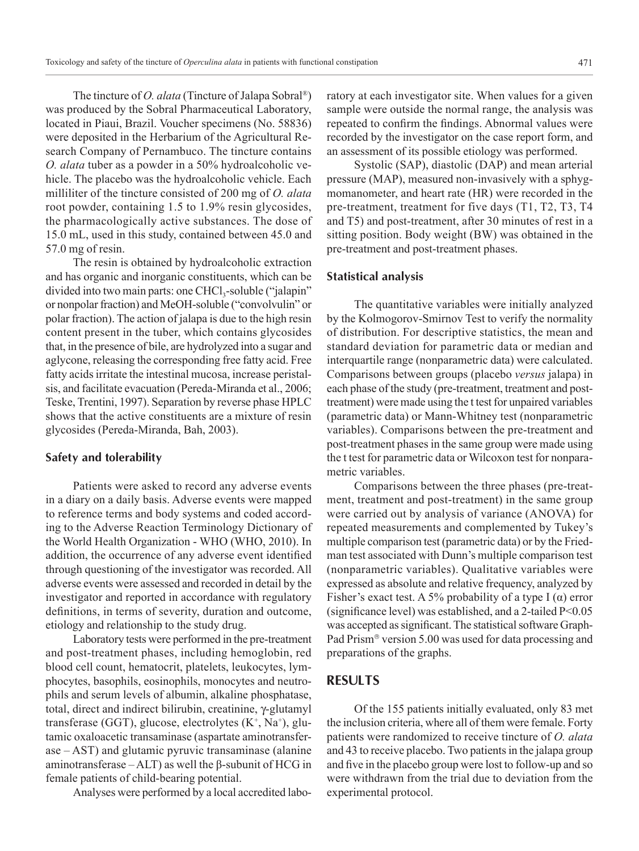The tincture of *O. alata* (Tincture of Jalapa Sobral®) was produced by the Sobral Pharmaceutical Laboratory, located in Piaui, Brazil. Voucher specimens (No. 58836) were deposited in the Herbarium of the Agricultural Research Company of Pernambuco. The tincture contains *O. alata* tuber as a powder in a 50% hydroalcoholic vehicle. The placebo was the hydroalcoholic vehicle. Each milliliter of the tincture consisted of 200 mg of *O. alata*  root powder, containing 1.5 to 1.9% resin glycosides, the pharmacologically active substances. The dose of 15.0 mL, used in this study, contained between 45.0 and 57.0 mg of resin.

The resin is obtained by hydroalcoholic extraction and has organic and inorganic constituents, which can be divided into two main parts: one  $CHCl<sub>3</sub>$ -soluble ("jalapin" or nonpolar fraction) and MeOH-soluble ("convolvulin" or polar fraction). The action of jalapa is due to the high resin content present in the tuber, which contains glycosides that, in the presence of bile, are hydrolyzed into a sugar and aglycone, releasing the corresponding free fatty acid. Free fatty acids irritate the intestinal mucosa, increase peristalsis, and facilitate evacuation (Pereda-Miranda et al., 2006; Teske, Trentini, 1997). Separation by reverse phase HPLC shows that the active constituents are a mixture of resin glycosides (Pereda-Miranda, Bah, 2003).

#### **Safety and tolerability**

Patients were asked to record any adverse events in a diary on a daily basis. Adverse events were mapped to reference terms and body systems and coded according to the Adverse Reaction Terminology Dictionary of the World Health Organization - WHO (WHO, 2010). In addition, the occurrence of any adverse event identified through questioning of the investigator was recorded. All adverse events were assessed and recorded in detail by the investigator and reported in accordance with regulatory definitions, in terms of severity, duration and outcome, etiology and relationship to the study drug.

Laboratory tests were performed in the pre-treatment and post-treatment phases, including hemoglobin, red blood cell count, hematocrit, platelets, leukocytes, lymphocytes, basophils, eosinophils, monocytes and neutrophils and serum levels of albumin, alkaline phosphatase, total, direct and indirect bilirubin, creatinine,  $\gamma$ -glutamyl transferase (GGT), glucose, electrolytes  $(K^+, Na^+)$ , glutamic oxaloacetic transaminase (aspartate aminotransferase – AST) and glutamic pyruvic transaminase (alanine aminotransferase – ALT) as well the β-subunit of HCG in female patients of child-bearing potential.

Analyses were performed by a local accredited labo-

ratory at each investigator site. When values for a given sample were outside the normal range, the analysis was repeated to confirm the findings. Abnormal values were recorded by the investigator on the case report form, and an assessment of its possible etiology was performed.

Systolic (SAP), diastolic (DAP) and mean arterial pressure (MAP), measured non-invasively with a sphygmomanometer, and heart rate (HR) were recorded in the pre-treatment, treatment for five days (T1, T2, T3, T4 and T5) and post-treatment, after 30 minutes of rest in a sitting position. Body weight (BW) was obtained in the pre-treatment and post-treatment phases.

#### **Statistical analysis**

The quantitative variables were initially analyzed by the Kolmogorov-Smirnov Test to verify the normality of distribution. For descriptive statistics, the mean and standard deviation for parametric data or median and interquartile range (nonparametric data) were calculated. Comparisons between groups (placebo *versus* jalapa) in each phase of the study (pre-treatment, treatment and posttreatment) were made using the t test for unpaired variables (parametric data) or Mann-Whitney test (nonparametric variables). Comparisons between the pre-treatment and post-treatment phases in the same group were made using the t test for parametric data or Wilcoxon test for nonparametric variables.

Comparisons between the three phases (pre-treatment, treatment and post-treatment) in the same group were carried out by analysis of variance (ANOVA) for repeated measurements and complemented by Tukey's multiple comparison test (parametric data) or by the Friedman test associated with Dunn's multiple comparison test (nonparametric variables). Qualitative variables were expressed as absolute and relative frequency, analyzed by Fisher's exact test. A 5% probability of a type I  $(\alpha)$  error (significance level) was established, and a 2-tailed P<0.05 was accepted as significant. The statistical software Graph-Pad Prism® version 5.00 was used for data processing and preparations of the graphs.

## **RESULTS**

Of the 155 patients initially evaluated, only 83 met the inclusion criteria, where all of them were female. Forty patients were randomized to receive tincture of *O. alata* and 43 to receive placebo. Two patients in the jalapa group and five in the placebo group were lost to follow-up and so were withdrawn from the trial due to deviation from the experimental protocol.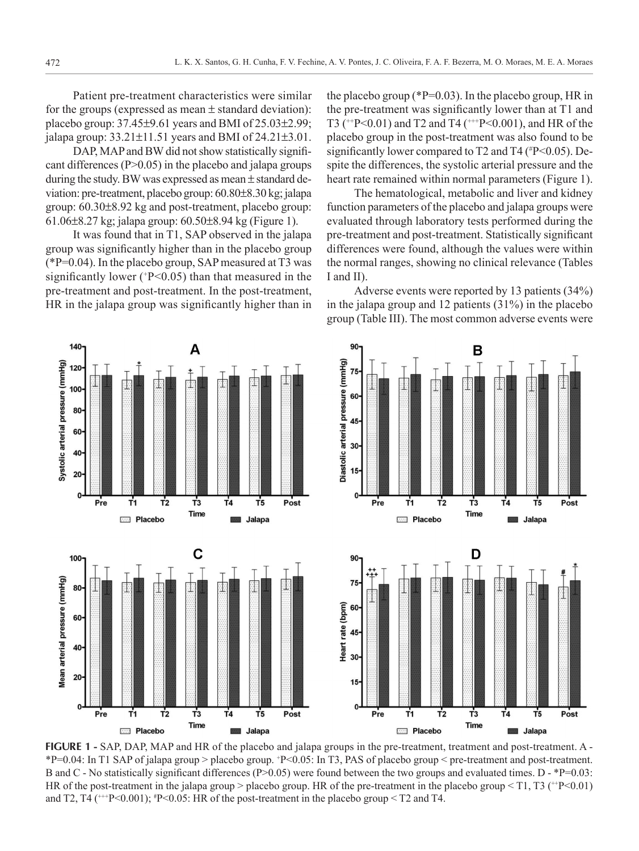Patient pre-treatment characteristics were similar for the groups (expressed as mean  $\pm$  standard deviation): placebo group: 37.45±9.61 years and BMI of 25.03±2.99; jalapa group:  $33.21 \pm 11.51$  years and BMI of  $24.21 \pm 3.01$ .

DAP, MAP and BW did not show statistically significant differences (P>0.05) in the placebo and jalapa groups during the study. BW was expressed as mean ± standard deviation: pre-treatment, placebo group: 60.80±8.30 kg; jalapa group: 60.30±8.92 kg and post-treatment, placebo group: 61.06±8.27 kg; jalapa group: 60.50±8.94 kg (Figure 1).

It was found that in T1, SAP observed in the jalapa group was significantly higher than in the placebo group (\*P=0.04). In the placebo group, SAP measured at  $T3$  was significantly lower ( $P<0.05$ ) than that measured in the pre-treatment and post-treatment. In the post-treatment, HR in the jalapa group was significantly higher than in the placebo group (\*P=0.03). In the placebo group, HR in the pre-treatment was significantly lower than at T1 and T3 ( $+P<0.01$ ) and T2 and T4 ( $+P<0.001$ ), and HR of the placebo group in the post-treatment was also found to be significantly lower compared to T2 and T4 (# P<0.05). Despite the differences, the systolic arterial pressure and the heart rate remained within normal parameters (Figure 1).

The hematological, metabolic and liver and kidney function parameters of the placebo and jalapa groups were evaluated through laboratory tests performed during the pre-treatment and post-treatment. Statistically significant differences were found, although the values were within the normal ranges, showing no clinical relevance (Tables I and II).

Adverse events were reported by 13 patients (34%) in the jalapa group and 12 patients (31%) in the placebo group (Table III). The most common adverse events were



**FIGURE 1 -** SAP, DAP, MAP and HR of the placebo and jalapa groups in the pre-treatment, treatment and post-treatment. A -\*P=0.04: In T1 SAP of jalapa group > placebo group. <sup>+</sup> P<0.05: In T3, PAS of placebo group < pre-treatment and post-treatment. B and C - No statistically significant differences (P>0.05) were found between the two groups and evaluated times. D - \*P=0.03: HR of the post-treatment in the jalapa group > placebo group. HR of the pre-treatment in the placebo group  $\leq$  T1, T3 ( $\pm$ P $\leq$ 0.01) and T2, T4 ( $^{++}P<0.001$ );  $^{*}P<0.05$ : HR of the post-treatment in the placebo group  $\leq$  T2 and T4.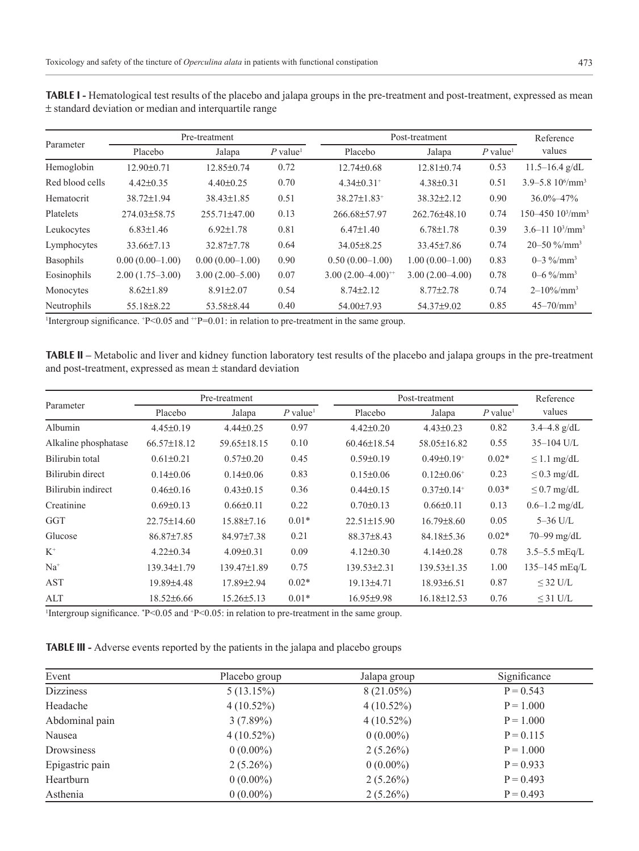| Parameter        | Pre-treatment     |                    |                        | Post-treatment                |                   |                      | Reference                          |
|------------------|-------------------|--------------------|------------------------|-------------------------------|-------------------|----------------------|------------------------------------|
|                  | Placebo           | Jalapa             | $P$ value <sup>1</sup> | Placebo                       | Jalapa            | P value <sup>1</sup> | values                             |
| Hemoglobin       | $12.90 \pm 0.71$  | 12.85±0.74         | 0.72                   | $12.74 \pm 0.68$              | $12.81 \pm 0.74$  | 0.53                 | $11.5 - 16.4$ g/dL                 |
| Red blood cells  | $4.42\pm0.35$     | $4.40\pm0.25$      | 0.70                   | $4.34\pm0.31$ <sup>+</sup>    | $4.38 \pm 0.31$   | 0.51                 | $3.9 - 5.810^{6}$ /mm <sup>3</sup> |
| Hematocrit       | 38.72±1.94        | $38.43 \pm 1.85$   | 0.51                   | $38.27 \pm 1.83$ <sup>+</sup> | $38.32 \pm 2.12$  | 0.90                 | $36.0\% - 47\%$                    |
| Platelets        | 274.03±58.75      | $255.71 \pm 47.00$ | 0.13                   | 266.68±57.97                  | $262.76\pm48.10$  | 0.74                 | $150 - 450$ $103/mm3$              |
| Leukocytes       | $6.83 \pm 1.46$   | $6.92 \pm 1.78$    | 0.81                   | $6.47 \pm 1.40$               | $6.78 \pm 1.78$   | 0.39                 | $3.6 - 11.103/mm3$                 |
| Lymphocytes      | $33.66 \pm 7.13$  | 32.87±7.78         | 0.64                   | $34.05 \pm 8.25$              | $33.45 \pm 7.86$  | 0.74                 | $20 - 50\%$ /mm <sup>3</sup>       |
| <b>Basophils</b> | $0.00(0.00-1.00)$ | $0.00(0.00-1.00)$  | 0.90                   | $0.50(0.00-1.00)$             | $1.00(0.00-1.00)$ | 0.83                 | $0-3\%$ /mm <sup>3</sup>           |
| Eosinophils      | $2.00(1.75-3.00)$ | $3.00(2.00-5.00)$  | 0.07                   | $3.00(2.00-4.00)^{+}$         | $3.00(2.00-4.00)$ | 0.78                 | $0-6\frac{9}{m}$ mm <sup>3</sup>   |
| Monocytes        | $8.62 \pm 1.89$   | $8.91 \pm 2.07$    | 0.54                   | $8.74 \pm 2.12$               | $8.77 \pm 2.78$   | 0.74                 | $2 - 10\% / \text{mm}^3$           |
| Neutrophils      | 55.18 ± 8.22      | 53.58±8.44         | 0.40                   | $54.00 \pm 7.93$              | 54.37±9.02        | 0.85                 | $45 - 70$ /mm <sup>3</sup>         |

**TABLE I** - Hematological test results of the placebo and jalapa groups in the pre-treatment and post-treatment, expressed as mean ± standard deviation or median and interquartile range

Intergroup significance.  $+P<0.05$  and  $+P=0.01$ : in relation to pre-treatment in the same group.

**TABLE II** – Metabolic and liver and kidney function laboratory test results of the placebo and jalapa groups in the pre-treatment and post-treatment, expressed as mean ± standard deviation

| Parameter            | Pre-treatment     |                   |                        | Post-treatment    |                              |                        | Reference         |
|----------------------|-------------------|-------------------|------------------------|-------------------|------------------------------|------------------------|-------------------|
|                      | Placebo           | Jalapa            | $P$ value <sup>1</sup> | Placebo           | Jalapa                       | $P$ value <sup>1</sup> | values            |
| Albumin              | $4.45 \pm 0.19$   | $4.44\pm0.25$     | 0.97                   | $4.42\pm0.20$     | $4.43\pm0.23$                | 0.82                   | $3.4 - 4.8$ g/dL  |
| Alkaline phosphatase | $66.57 \pm 18.12$ | $59.65 \pm 18.15$ | 0.10                   | $60.46 \pm 18.54$ | 58.05±16.82                  | 0.55                   | $35-104$ U/L      |
| Bilirubin total      | $0.61 \pm 0.21$   | $0.57 \pm 0.20$   | 0.45                   | $0.59 \pm 0.19$   | $0.49 \pm 0.19$ <sup>+</sup> | $0.02*$                | $\leq$ 1.1 mg/dL  |
| Bilirubin direct     | $0.14\pm0.06$     | $0.14\pm0.06$     | 0.83                   | $0.15 \pm 0.06$   | $0.12\pm0.06$ <sup>+</sup>   | 0.23                   | $\leq$ 0.3 mg/dL  |
| Bilirubin indirect   | $0.46 \pm 0.16$   | $0.43 \pm 0.15$   | 0.36                   | $0.44 \pm 0.15$   | $0.37\pm0.14$ <sup>+</sup>   | $0.03*$                | $\leq$ 0.7 mg/dL  |
| Creatinine           | $0.69 \pm 0.13$   | $0.66 \pm 0.11$   | 0.22                   | $0.70 \pm 0.13$   | $0.66 \pm 0.11$              | 0.13                   | $0.6 - 1.2$ mg/dL |
| GGT                  | $22.75 \pm 14.60$ | 15.88±7.16        | $0.01*$                | $22.51 \pm 15.90$ | $16.79 \pm 8.60$             | 0.05                   | $5 - 36$ U/L      |
| Glucose              | 86.87±7.85        | $84.97 \pm 7.38$  | 0.21                   | $88.37 \pm 8.43$  | $84.18 \pm 5.36$             | $0.02*$                | $70 - 99$ mg/dL   |
| $K^+$                | $4.22 \pm 0.34$   | $4.09\pm0.31$     | 0.09                   | $4.12 \pm 0.30$   | $4.14\pm0.28$                | 0.78                   | $3.5 - 5.5$ mEq/L |
| $Na+$                | 139.34±1.79       | 139.47±1.89       | 0.75                   | $139.53 \pm 2.31$ | $139.53 \pm 1.35$            | 1.00                   | $135 - 145$ mEq/L |
| AST                  | 19.89±4.48        | 17.89±2.94        | $0.02*$                | $19.13 \pm 4.71$  | $18.93\pm 6.51$              | 0.87                   | $\leq$ 32 U/L     |
| ALT                  | 18.52±6.66        | $15.26 \pm 5.13$  | $0.01*$                | $16.95 \pm 9.98$  | $16.18 \pm 12.53$            | 0.76                   | $\leq$ 31 U/L     |

1 Intergroup significance. \* P<0.05 and <sup>+</sup> P<0.05: in relation to pre-treatment in the same group.

**TABLE III -** Adverse events reported by the patients in the jalapa and placebo groups

| Event            | Placebo group | Jalapa group | Significance |
|------------------|---------------|--------------|--------------|
| <b>Dizziness</b> | 5(13.15%)     | $8(21.05\%)$ | $P = 0.543$  |
| Headache         | $4(10.52\%)$  | $4(10.52\%)$ | $P = 1.000$  |
| Abdominal pain   | 3(7.89%)      | $4(10.52\%)$ | $P = 1.000$  |
| Nausea           | $4(10.52\%)$  | $0(0.00\%)$  | $P = 0.115$  |
| Drowsiness       | $0(0.00\%)$   | $2(5.26\%)$  | $P = 1.000$  |
| Epigastric pain  | $2(5.26\%)$   | $0(0.00\%)$  | $P = 0.933$  |
| Heartburn        | $0(0.00\%)$   | $2(5.26\%)$  | $P = 0.493$  |
| Asthenia         | $0(0.00\%)$   | $2(5.26\%)$  | $P = 0.493$  |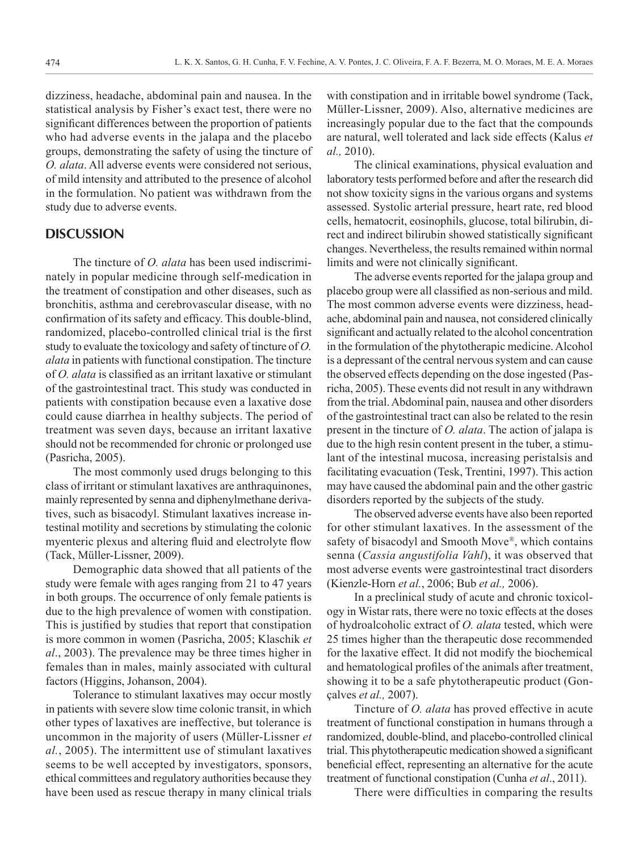dizziness, headache, abdominal pain and nausea. In the statistical analysis by Fisher's exact test, there were no significant differences between the proportion of patients who had adverse events in the jalapa and the placebo groups, demonstrating the safety of using the tincture of *O. alata* All adverse events were considered not serious of mild intensity and attributed to the presence of alcohol in the formulation. No patient was withdrawn from the study due to adverse events.

### **DISCUSSION**

The tincture of *O. alata* has been used indiscriminately in popular medicine through self-medication in the treatment of constipation and other diseases, such as bronchitis, asthma and cerebrovascular disease, with no confirmation of its safety and efficacy. This double-blind, randomized, placebo-controlled clinical trial is the first study to evaluate the toxicology and safety of tincture of *O. alata* in patients with functional constipation. The tincture of *O. alata* is classified as an irritant laxative or stimulant of the gastrointestinal tract. This study was conducted in patients with constipation because even a laxative dose could cause diarrhea in healthy subjects. The period of treatment was seven days, because an irritant laxative should not be recommended for chronic or prolonged use (Pasricha, 2005).

The most commonly used drugs belonging to this class of irritant or stimulant laxatives are anthraquinones, mainly represented by senna and diphenylmethane derivatives, such as bisacodyl. Stimulant laxatives increase intestinal motility and secretions by stimulating the colonic myenteric plexus and altering fluid and electrolyte flow (Tack, Müller-Lissner, 2009).

Demographic data showed that all patients of the study were female with ages ranging from 21 to 47 years in both groups. The occurrence of only female patients is due to the high prevalence of women with constipation. This is justified by studies that report that constipation is more common in women (Pasricha, 2005; Klaschik *et al*., 2003). The prevalence may be three times higher in females than in males, mainly associated with cultural factors (Higgins, Johanson, 2004).

Tolerance to stimulant laxatives may occur mostly in patients with severe slow time colonic transit, in which other types of laxatives are ineffective, but tolerance is uncommon in the majority of users (Müller-Lissner *et al.*, 2005). The intermittent use of stimulant laxatives seems to be well accepted by investigators, sponsors, ethical committees and regulatory authorities because they have been used as rescue therapy in many clinical trials

with constipation and in irritable bowel syndrome (Tack, Müller-Lissner, 2009). Also, alternative medicines are increasingly popular due to the fact that the compounds are natural, well tolerated and lack side effects (Kalus *et al.,* 2010).

The clinical examinations, physical evaluation and laboratory tests performed before and after the research did not show toxicity signs in the various organs and systems assessed. Systolic arterial pressure, heart rate, red blood cells, hematocrit, eosinophils, glucose, total bilirubin, direct and indirect bilirubin showed statistically significant changes. Nevertheless, the results remained within normal limits and were not clinically significant.

The adverse events reported for the jalapa group and placebo group were all classified as non-serious and mild. The most common adverse events were dizziness, headache, abdominal pain and nausea, not considered clinically significant and actually related to the alcohol concentration in the formulation of the phytotherapic medicine. Alcohol is a depressant of the central nervous system and can cause the observed effects depending on the dose ingested (Pasricha, 2005). These events did not result in any withdrawn from the trial. Abdominal pain, nausea and other disorders of the gastrointestinal tract can also be related to the resin present in the tincture of *O. alata*. The action of jalapa is due to the high resin content present in the tuber, a stimulant of the intestinal mucosa, increasing peristalsis and facilitating evacuation (Tesk, Trentini, 1997). This action may have caused the abdominal pain and the other gastric disorders reported by the subjects of the study.

The observed adverse events have also been reported for other stimulant laxatives. In the assessment of the safety of bisacodyl and Smooth Move®, which contains senna (*Cassia angustifolia Vahl*), it was observed that most adverse events were gastrointestinal tract disorders (Kienzle-Horn *et al.*, 2006; Bub *et al.,* 2006).

In a preclinical study of acute and chronic toxicology in Wistar rats, there were no toxic effects at the doses of hydroalcoholic extract of *O. alata* tested, which were 25 times higher than the therapeutic dose recommended for the laxative effect. It did not modify the biochemical and hematological profiles of the animals after treatment, showing it to be a safe phytotherapeutic product (Gonçalves *et al.,* 2007).

Tincture of *O. alata* has proved effective in acute treatment of functional constipation in humans through a randomized, double-blind, and placebo-controlled clinical trial. This phytotherapeutic medication showed a significant beneficial effect, representing an alternative for the acute treatment of functional constipation (Cunha *et al*., 2011).

There were difficulties in comparing the results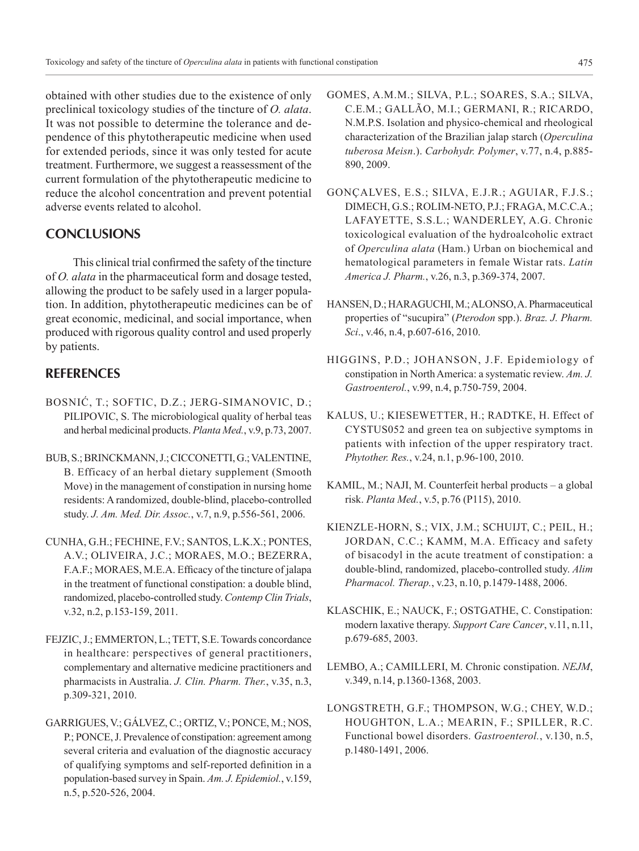obtained with other studies due to the existence of only preclinical toxicology studies of the tincture of *O. alata*. It was not possible to determine the tolerance and dependence of this phytotherapeutic medicine when used for extended periods, since it was only tested for acute treatment. Furthermore, we suggest a reassessment of the current formulation of the phytotherapeutic medicine to reduce the alcohol concentration and prevent potential adverse events related to alcohol.

## **CONCLUSIONS**

This clinical trial confirmed the safety of the tincture of *O. alata* in the pharmaceutical form and dosage tested, allowing the product to be safely used in a larger population. In addition, phytotherapeutic medicines can be of great economic, medicinal, and social importance, when produced with rigorous quality control and used properly by patients.

# **REFERENCES**

- BOSNIĆ, T.; SOFTIC, D.Z.; JERG-SIMANOVIC, D.; PILIPOVIC, S. The microbiological quality of herbal teas and herbal medicinal products. *Planta Med.*, v.9, p.73, 2007.
- BUB, S.; BRINCKMANN, J.; CICCONETTI, G.; VALENTINE, B. Efficacy of an herbal dietary supplement (Smooth Move) in the management of constipation in nursing home residents: A randomized, double-blind, placebo-controlled study. *J. Am. Med. Dir. Assoc.*, v.7, n.9, p.556-561, 2006.
- CUNHA, G.H.; FECHINE, F.V.; SANTOS, L.K.X.; PONTES, A.V.; OLIVEIRA, J.C.; MORAES, M.O.; BEZERRA, F.A.F.; MORAES, M.E.A. Efficacy of the tincture of jalapa in the treatment of functional constipation: a double blind, randomized, placebo-controlled study. *Contemp Clin Trials*, v.32, n.2, p.153-159, 2011.
- FEJZIC, J.; EMMERTON, L.; TETT, S.E. Towards concordance in healthcare: perspectives of general practitioners, complementary and alternative medicine practitioners and pharmacists in Australia. *J. Clin. Pharm. Ther.*, v.35, n.3, p.309-321, 2010.
- GARRIGUES, V.; GÁLVEZ, C.; ORTIZ, V.; PONCE, M.; NOS, P.; PONCE, J. Prevalence of constipation: agreement among several criteria and evaluation of the diagnostic accuracy of qualifying symptoms and self-reported definition in a population-based survey in Spain. *Am. J. Epidemiol.*, v.159, n.5, p.520-526, 2004.
- GOMES, A.M.M.; SILVA, P.L.; SOARES, S.A.; SILVA, C.E.M.; GALLÃO, M.I.; GERMANI, R.; RICARDO, N.M.P.S. Isolation and physico-chemical and rheological characterization of the Brazilian jalap starch (*Operculina tuberosa Meisn*.). *Carbohydr. Polymer*, v.77, n.4, p.885- 890, 2009.
- GONÇALVES, E.S.; SILVA, E.J.R.; AGUIAR, F.J.S.; DIMECH, G.S.; ROLIM-NETO, P.J.; FRAGA, M.C.C.A.; LAFAYETTE, S.S.L.; WANDERLEY, A.G. Chronic toxicological evaluation of the hydroalcoholic extract of *Operculina alata* (Ham.) Urban on biochemical and hematological parameters in female Wistar rats. *Latin America J. Pharm.*, v.26, n.3, p.369-374, 2007.
- HANSEN, D.; HARAGUCHI, M.; ALONSO, A. Pharmaceutical properties of "sucupira" (*Pterodon* spp.). *Braz. J. Pharm. Sci*., v.46, n.4, p.607-616, 2010.
- HIGGINS, P.D.; JOHANSON, J.F. Epidemiology of constipation in North America: a systematic review. *Am. J. Gastroenterol.*, v.99, n.4, p.750-759, 2004.
- KALUS, U.; KIESEWETTER, H.; RADTKE, H. Effect of CYSTUS052 and green tea on subjective symptoms in patients with infection of the upper respiratory tract. *Phytother. Res.*, v.24, n.1, p.96-100, 2010.
- KAMIL, M.; NAJI, M. Counterfeit herbal products a global risk. *Planta Med.*, v.5, p.76 (P115), 2010.
- KIENZLE-HORN, S.; VIX, J.M.; SCHUIJT, C.; PEIL, H.; JORDAN, C.C.; KAMM, M.A. Efficacy and safety of bisacodyl in the acute treatment of constipation: a double-blind, randomized, placebo-controlled study. *Alim Pharmacol. Therap.*, v.23, n.10, p.1479-1488, 2006.
- KLASCHIK, E.; NAUCK, F.; OSTGATHE, C. Constipation: modern laxative therapy. *Support Care Cancer*, v.11, n.11, p.679-685, 2003.
- LEMBO, A.; CAMILLERI, M. Chronic constipation. *NEJM*, v.349, n.14, p.1360-1368, 2003.
- LONGSTRETH, G.F.; THOMPSON, W.G.; CHEY, W.D.; HOUGHTON, L.A.; MEARIN, F.; SPILLER, R.C. Functional bowel disorders. *Gastroenterol.*, v.130, n.5, p.1480-1491, 2006.